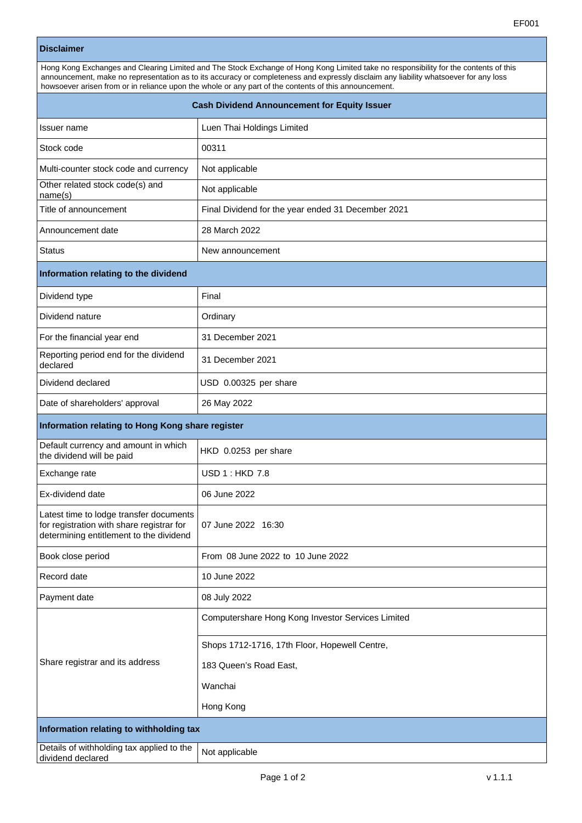| <b>Disclaimer</b>                                                                                                                                                                                                                                                                                                                                                                     |                                                    |
|---------------------------------------------------------------------------------------------------------------------------------------------------------------------------------------------------------------------------------------------------------------------------------------------------------------------------------------------------------------------------------------|----------------------------------------------------|
| Hong Kong Exchanges and Clearing Limited and The Stock Exchange of Hong Kong Limited take no responsibility for the contents of this<br>announcement, make no representation as to its accuracy or completeness and expressly disclaim any liability whatsoever for any loss<br>howsoever arisen from or in reliance upon the whole or any part of the contents of this announcement. |                                                    |
| <b>Cash Dividend Announcement for Equity Issuer</b>                                                                                                                                                                                                                                                                                                                                   |                                                    |
| Issuer name                                                                                                                                                                                                                                                                                                                                                                           | Luen Thai Holdings Limited                         |
| Stock code                                                                                                                                                                                                                                                                                                                                                                            | 00311                                              |
| Multi-counter stock code and currency                                                                                                                                                                                                                                                                                                                                                 | Not applicable                                     |
| Other related stock code(s) and<br>name(s)                                                                                                                                                                                                                                                                                                                                            | Not applicable                                     |
| Title of announcement                                                                                                                                                                                                                                                                                                                                                                 | Final Dividend for the year ended 31 December 2021 |
| Announcement date                                                                                                                                                                                                                                                                                                                                                                     | 28 March 2022                                      |
| Status                                                                                                                                                                                                                                                                                                                                                                                | New announcement                                   |
| Information relating to the dividend                                                                                                                                                                                                                                                                                                                                                  |                                                    |
| Dividend type                                                                                                                                                                                                                                                                                                                                                                         | Final                                              |
| Dividend nature                                                                                                                                                                                                                                                                                                                                                                       | Ordinary                                           |
| For the financial year end                                                                                                                                                                                                                                                                                                                                                            | 31 December 2021                                   |
| Reporting period end for the dividend<br>declared                                                                                                                                                                                                                                                                                                                                     | 31 December 2021                                   |
| Dividend declared                                                                                                                                                                                                                                                                                                                                                                     | USD 0.00325 per share                              |
| Date of shareholders' approval                                                                                                                                                                                                                                                                                                                                                        | 26 May 2022                                        |
| Information relating to Hong Kong share register                                                                                                                                                                                                                                                                                                                                      |                                                    |
| Default currency and amount in which<br>the dividend will be paid                                                                                                                                                                                                                                                                                                                     | HKD 0.0253 per share                               |
| Exchange rate                                                                                                                                                                                                                                                                                                                                                                         | <b>USD 1: HKD 7.8</b>                              |
| Ex-dividend date                                                                                                                                                                                                                                                                                                                                                                      | 06 June 2022                                       |
| Latest time to lodge transfer documents<br>for registration with share registrar for<br>determining entitlement to the dividend                                                                                                                                                                                                                                                       | 07 June 2022 16:30                                 |
| Book close period                                                                                                                                                                                                                                                                                                                                                                     | From 08 June 2022 to 10 June 2022                  |
| Record date                                                                                                                                                                                                                                                                                                                                                                           | 10 June 2022                                       |
| Payment date                                                                                                                                                                                                                                                                                                                                                                          | 08 July 2022                                       |
| Share registrar and its address                                                                                                                                                                                                                                                                                                                                                       | Computershare Hong Kong Investor Services Limited  |
|                                                                                                                                                                                                                                                                                                                                                                                       | Shops 1712-1716, 17th Floor, Hopewell Centre,      |
|                                                                                                                                                                                                                                                                                                                                                                                       | 183 Queen's Road East,                             |
|                                                                                                                                                                                                                                                                                                                                                                                       | Wanchai                                            |
|                                                                                                                                                                                                                                                                                                                                                                                       | Hong Kong                                          |

Details of withholding tax applied to the Not applicable<br>dividend declared

**Information relating to withholding tax**